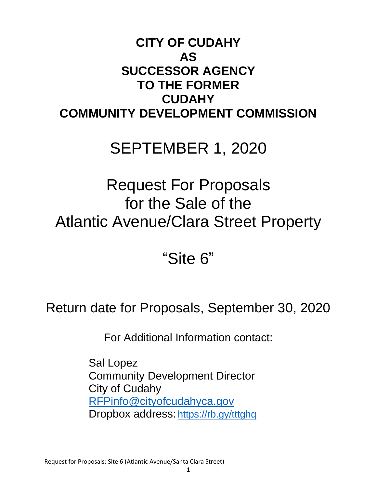# **CITY OF CUDAHY AS SUCCESSOR AGENCY TO THE FORMER CUDAHY COMMUNITY DEVELOPMENT COMMISSION**

# SEPTEMBER 1, 2020

# Request For Proposals for the Sale of the Atlantic Avenue/Clara Street Property

# "Site 6"

# Return date for Proposals, September 30, 2020

For Additional Information contact:

Sal Lopez Community Development Director City of Cudahy [RFPinfo@cityofcudahyca.gov](mailto:RFPinfo@cityofcudahyca.gov) Dropbox address: <https://rb.gy/tttghq>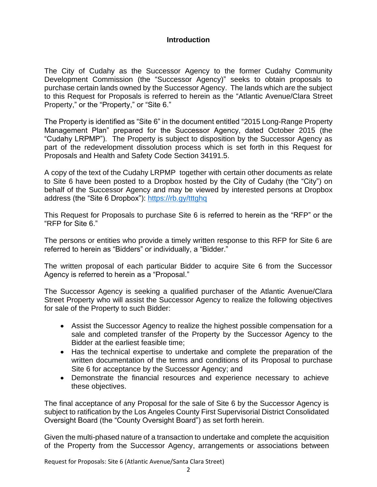#### **Introduction**

The City of Cudahy as the Successor Agency to the former Cudahy Community Development Commission (the "Successor Agency)" seeks to obtain proposals to purchase certain lands owned by the Successor Agency. The lands which are the subject to this Request for Proposals is referred to herein as the "Atlantic Avenue/Clara Street Property," or the "Property," or "Site 6."

The Property is identified as "Site 6" in the document entitled "2015 Long-Range Property Management Plan" prepared for the Successor Agency, dated October 2015 (the "Cudahy LRPMP"). The Property is subject to disposition by the Successor Agency as part of the redevelopment dissolution process which is set forth in this Request for Proposals and Health and Safety Code Section 34191.5.

A copy of the text of the Cudahy LRPMP together with certain other documents as relate to Site 6 have been posted to a Dropbox hosted by the City of Cudahy (the "City") on behalf of the Successor Agency and may be viewed by interested persons at Dropbox address (the "Site 6 Dropbox"): <https://rb.gy/tttghq>

This Request for Proposals to purchase Site 6 is referred to herein as the "RFP" or the "RFP for Site 6."

The persons or entities who provide a timely written response to this RFP for Site 6 are referred to herein as "Bidders" or individually, a "Bidder."

The written proposal of each particular Bidder to acquire Site 6 from the Successor Agency is referred to herein as a "Proposal."

The Successor Agency is seeking a qualified purchaser of the Atlantic Avenue/Clara Street Property who will assist the Successor Agency to realize the following objectives for sale of the Property to such Bidder:

- Assist the Successor Agency to realize the highest possible compensation for a sale and completed transfer of the Property by the Successor Agency to the Bidder at the earliest feasible time;
- Has the technical expertise to undertake and complete the preparation of the written documentation of the terms and conditions of its Proposal to purchase Site 6 for acceptance by the Successor Agency; and
- Demonstrate the financial resources and experience necessary to achieve these objectives.

The final acceptance of any Proposal for the sale of Site 6 by the Successor Agency is subject to ratification by the Los Angeles County First Supervisorial District Consolidated Oversight Board (the "County Oversight Board") as set forth herein.

Given the multi-phased nature of a transaction to undertake and complete the acquisition of the Property from the Successor Agency, arrangements or associations between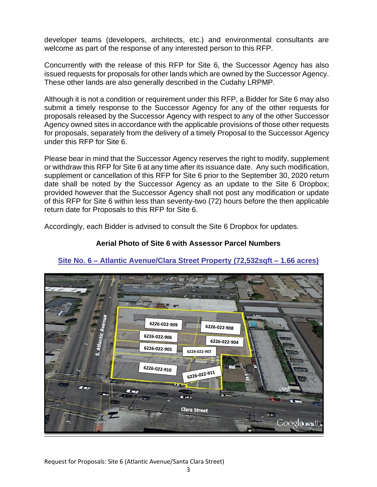developer teams (developers, architects, etc.) and environmental consultants are welcome as part of the response of any interested person to this RFP.

Concurrently with the release of this RFP for Site 6, the Successor Agency has also issued requests for proposals for other lands which are owned by the Successor Agency. These other lands are also generally described in the Cudahy LRPMP.

Although it is not a condition or requirement under this RFP, a Bidder for Site 6 may also submit a timely response to the Successor Agency for any of the other requests for proposals released by the Successor Agency with respect to any of the other Successor Agency owned sites in accordance with the applicable provisions of those other requests for proposals, separately from the delivery of a timely Proposal to the Successor Agency under this RFP for Site 6.

Please bear in mind that the Successor Agency reserves the right to modify, supplement or withdraw this RFP for Site 6 at any time after its issuance date. Any such modification, supplement or cancellation of this RFP for Site 6 prior to the September 30, 2020 return date shall be noted by the Successor Agency as an update to the Site 6 Dropbox; provided however that the Successor Agency shall not post any modification or update of this RFP for Site 6 within less than seventy-two (72) hours before the then applicable return date for Proposals to this RFP for Site 6.

Accordingly, each Bidder is advised to consult the Site 6 Dropbox for updates.

## **Aerial Photo of Site 6 with Assessor Parcel Numbers**



## **Site No. 6 – Atlantic Avenue/Clara Street Property (72,532sqft – 1.66 acres)**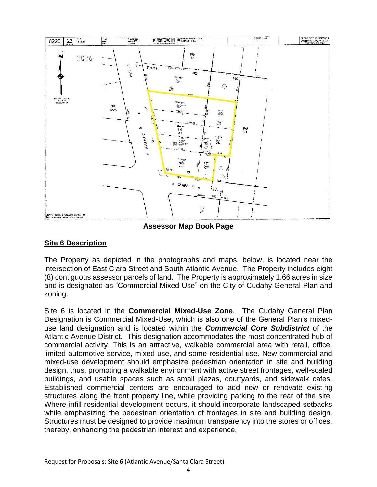

**Assessor Map Book Page**

# **Site 6 Description**

The Property as depicted in the photographs and maps, below, is located near the intersection of East Clara Street and South Atlantic Avenue. The Property includes eight (8) contiguous assessor parcels of land. The Property is approximately 1.66 acres in size and is designated as "Commercial Mixed-Use" on the City of Cudahy General Plan and zoning.

Site 6 is located in the **Commercial Mixed-Use Zone**. The Cudahy General Plan Designation is Commercial Mixed-Use, which is also one of the General Plan's mixeduse land designation and is located within the *Commercial Core Subdistrict* of the Atlantic Avenue District. This designation accommodates the most concentrated hub of commercial activity. This is an attractive, walkable commercial area with retail, office, limited automotive service, mixed use, and some residential use. New commercial and mixed-use development should emphasize pedestrian orientation in site and building design, thus, promoting a walkable environment with active street frontages, well-scaled buildings, and usable spaces such as small plazas, courtyards, and sidewalk cafes. Established commercial centers are encouraged to add new or renovate existing structures along the front property line, while providing parking to the rear of the site. Where infill residential development occurs, it should incorporate landscaped setbacks while emphasizing the pedestrian orientation of frontages in site and building design. Structures must be designed to provide maximum transparency into the stores or offices, thereby, enhancing the pedestrian interest and experience.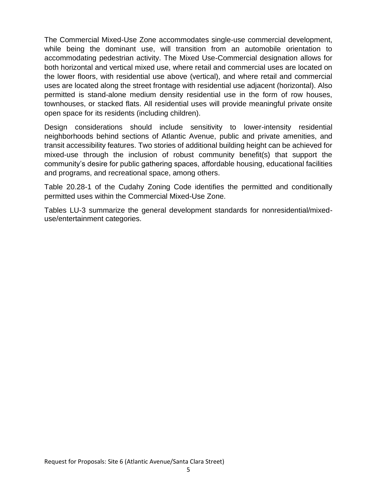The Commercial Mixed-Use Zone accommodates single-use commercial development, while being the dominant use, will transition from an automobile orientation to accommodating pedestrian activity. The Mixed Use-Commercial designation allows for both horizontal and vertical mixed use, where retail and commercial uses are located on the lower floors, with residential use above (vertical), and where retail and commercial uses are located along the street frontage with residential use adjacent (horizontal). Also permitted is stand-alone medium density residential use in the form of row houses, townhouses, or stacked flats. All residential uses will provide meaningful private onsite open space for its residents (including children).

Design considerations should include sensitivity to lower-intensity residential neighborhoods behind sections of Atlantic Avenue, public and private amenities, and transit accessibility features. Two stories of additional building height can be achieved for mixed-use through the inclusion of robust community benefit(s) that support the community's desire for public gathering spaces, affordable housing, educational facilities and programs, and recreational space, among others.

Table 20.28-1 of the Cudahy Zoning Code identifies the permitted and conditionally permitted uses within the Commercial Mixed-Use Zone.

Tables LU-3 summarize the general development standards for nonresidential/mixeduse/entertainment categories.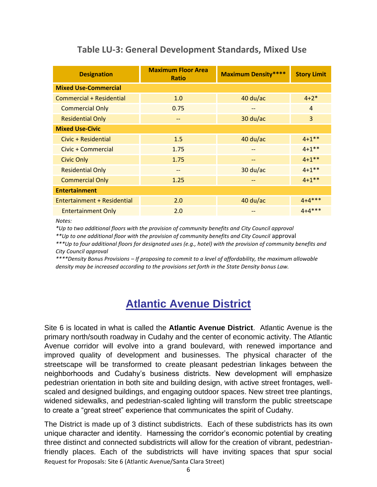| <b>Designation</b>          | <b>Maximum Floor Area</b><br><b>Ratio</b> | <b>Maximum Density****</b> | <b>Story Limit</b> |  |  |
|-----------------------------|-------------------------------------------|----------------------------|--------------------|--|--|
| <b>Mixed Use-Commercial</b> |                                           |                            |                    |  |  |
| Commercial + Residential    | 1.0                                       | 40 du/ac                   | $4 + 2^*$          |  |  |
| <b>Commercial Only</b>      | 0.75                                      | $-$                        | $\overline{4}$     |  |  |
| <b>Residential Only</b>     |                                           | 30 du/ac                   | 3                  |  |  |
| <b>Mixed Use-Civic</b>      |                                           |                            |                    |  |  |
| Civic + Residential         | 1.5                                       | $40$ du/ac                 | $4 + 1$ **         |  |  |
| Civic + Commercial          | 1.75                                      | --                         | $4 + 1$ **         |  |  |
| <b>Civic Only</b>           | 1.75                                      | --                         | $4 + 1$ **         |  |  |
| <b>Residential Only</b>     | $- -$                                     | $30$ du/ac                 | $4 + 1$ **         |  |  |
| <b>Commercial Only</b>      | 1.25                                      |                            | $4 + 1$ **         |  |  |
| <b>Entertainment</b>        |                                           |                            |                    |  |  |
| Entertainment + Residential | 2.0                                       | $40$ du/ac                 | $4 + 4$ ***        |  |  |
| <b>Entertainment Only</b>   | 2.0                                       |                            | $4 + 4$ ***        |  |  |

# **Table LU-3: General Development Standards, Mixed Use**

*Notes:*

*\*Up to two additional floors with the provision of community benefits and City Council approval*

*\*\*Up to one additional floor with the provision of community benefits and City Council* approval

*\*\*\*Up to four additional floors for designated uses (e.g., hotel) with the provision of community benefits and City Council approval*

*\*\*\*\*Density Bonus Provisions – If proposing to commit to a level of affordability, the maximum allowable density may be increased according to the provisions set forth in the State Density bonus Law.* 

# **Atlantic Avenue District**

Site 6 is located in what is called the **Atlantic Avenue District**. Atlantic Avenue is the primary north/south roadway in Cudahy and the center of economic activity. The Atlantic Avenue corridor will evolve into a grand boulevard, with renewed importance and improved quality of development and businesses. The physical character of the streetscape will be transformed to create pleasant pedestrian linkages between the neighborhoods and Cudahy's business districts. New development will emphasize pedestrian orientation in both site and building design, with active street frontages, wellscaled and designed buildings, and engaging outdoor spaces. New street tree plantings, widened sidewalks, and pedestrian-scaled lighting will transform the public streetscape to create a "great street" experience that communicates the spirit of Cudahy.

Request for Proposals: Site 6 (Atlantic Avenue/Santa Clara Street) The District is made up of 3 distinct subdistricts. Each of these subdistricts has its own unique character and identity. Harnessing the corridor's economic potential by creating three distinct and connected subdistricts will allow for the creation of vibrant, pedestrianfriendly places. Each of the subdistricts will have inviting spaces that spur social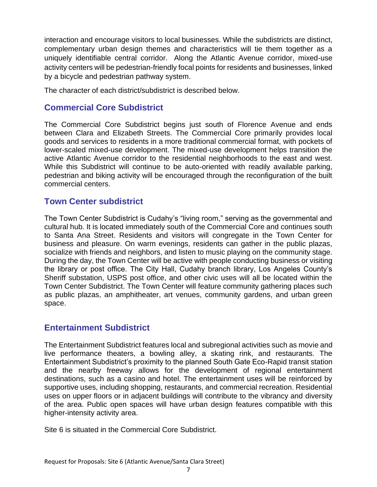interaction and encourage visitors to local businesses. While the subdistricts are distinct, complementary urban design themes and characteristics will tie them together as a uniquely identifiable central corridor. Along the Atlantic Avenue corridor, mixed-use activity centers will be pedestrian-friendly focal points for residents and businesses, linked by a bicycle and pedestrian pathway system.

The character of each district/subdistrict is described below.

# **Commercial Core Subdistrict**

The Commercial Core Subdistrict begins just south of Florence Avenue and ends between Clara and Elizabeth Streets. The Commercial Core primarily provides local goods and services to residents in a more traditional commercial format, with pockets of lower-scaled mixed-use development. The mixed-use development helps transition the active Atlantic Avenue corridor to the residential neighborhoods to the east and west. While this Subdistrict will continue to be auto-oriented with readily available parking, pedestrian and biking activity will be encouraged through the reconfiguration of the built commercial centers.

# **Town Center subdistrict**

The Town Center Subdistrict is Cudahy's "living room," serving as the governmental and cultural hub. It is located immediately south of the Commercial Core and continues south to Santa Ana Street. Residents and visitors will congregate in the Town Center for business and pleasure. On warm evenings, residents can gather in the public plazas, socialize with friends and neighbors, and listen to music playing on the community stage. During the day, the Town Center will be active with people conducting business or visiting the library or post office. The City Hall, Cudahy branch library, Los Angeles County's Sheriff substation, USPS post office, and other civic uses will all be located within the Town Center Subdistrict. The Town Center will feature community gathering places such as public plazas, an amphitheater, art venues, community gardens, and urban green space.

# **Entertainment Subdistrict**

The Entertainment Subdistrict features local and subregional activities such as movie and live performance theaters, a bowling alley, a skating rink, and restaurants. The Entertainment Subdistrict's proximity to the planned South Gate Eco-Rapid transit station and the nearby freeway allows for the development of regional entertainment destinations, such as a casino and hotel. The entertainment uses will be reinforced by supportive uses, including shopping, restaurants, and commercial recreation. Residential uses on upper floors or in adjacent buildings will contribute to the vibrancy and diversity of the area. Public open spaces will have urban design features compatible with this higher-intensity activity area.

Site 6 is situated in the Commercial Core Subdistrict.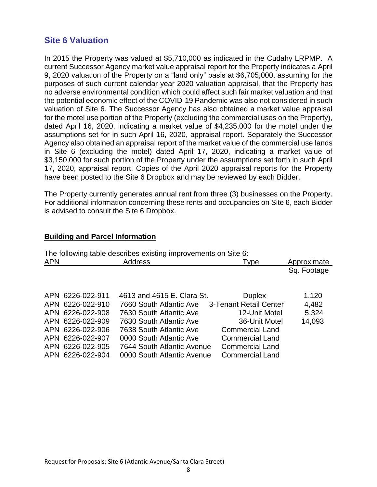# **Site 6 Valuation**

In 2015 the Property was valued at \$5,710,000 as indicated in the Cudahy LRPMP. A current Successor Agency market value appraisal report for the Property indicates a April 9, 2020 valuation of the Property on a "land only" basis at \$6,705,000, assuming for the purposes of such current calendar year 2020 valuation appraisal, that the Property has no adverse environmental condition which could affect such fair market valuation and that the potential economic effect of the COVID-19 Pandemic was also not considered in such valuation of Site 6. The Successor Agency has also obtained a market value appraisal for the motel use portion of the Property (excluding the commercial uses on the Property), dated April 16, 2020, indicating a market value of \$4,235,000 for the motel under the assumptions set for in such April 16, 2020, appraisal report. Separately the Successor Agency also obtained an appraisal report of the market value of the commercial use lands in Site 6 (excluding the motel) dated April 17, 2020, indicating a market value of \$3,150,000 for such portion of the Property under the assumptions set forth in such April 17, 2020, appraisal report. Copies of the April 2020 appraisal reports for the Property have been posted to the Site 6 Dropbox and may be reviewed by each Bidder.

The Property currently generates annual rent from three (3) businesses on the Property. For additional information concerning these rents and occupancies on Site 6, each Bidder is advised to consult the Site 6 Dropbox.

#### **Building and Parcel Information**

| The following table describes existing improvements on Site 6: |                  |                            |                        |             |  |  |  |
|----------------------------------------------------------------|------------------|----------------------------|------------------------|-------------|--|--|--|
| <b>APN</b>                                                     |                  | <b>Address</b>             | Type                   | Approximate |  |  |  |
|                                                                |                  |                            |                        | Sq. Footage |  |  |  |
|                                                                |                  |                            |                        |             |  |  |  |
|                                                                |                  |                            |                        |             |  |  |  |
|                                                                | APN 6226-022-911 | 4613 and 4615 E. Clara St. | <b>Duplex</b>          | 1,120       |  |  |  |
|                                                                | APN 6226-022-910 | 7660 South Atlantic Ave    | 3-Tenant Retail Center | 4,482       |  |  |  |
|                                                                | APN 6226-022-908 | 7630 South Atlantic Ave    | 12-Unit Motel          | 5,324       |  |  |  |
|                                                                | APN 6226-022-909 | 7630 South Atlantic Ave    | 36-Unit Motel          | 14,093      |  |  |  |
|                                                                | APN 6226-022-906 | 7638 South Atlantic Ave    | <b>Commercial Land</b> |             |  |  |  |
|                                                                | APN 6226-022-907 | 0000 South Atlantic Ave    | <b>Commercial Land</b> |             |  |  |  |
|                                                                | APN 6226-022-905 | 7644 South Atlantic Avenue | <b>Commercial Land</b> |             |  |  |  |
|                                                                | APN 6226-022-904 | 0000 South Atlantic Avenue | <b>Commercial Land</b> |             |  |  |  |

The following table describes existing improvements on Site 6: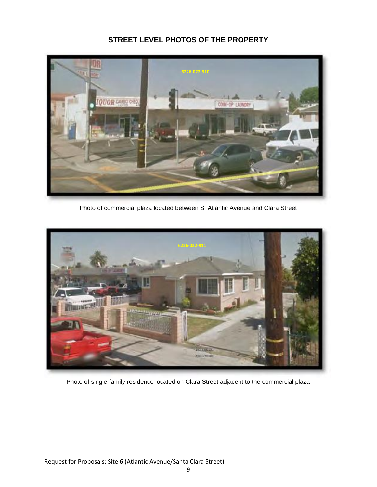## **STREET LEVEL PHOTOS OF THE PROPERTY**



Photo of commercial plaza located between S. Atlantic Avenue and Clara Street



Photo of single-family residence located on Clara Street adjacent to the commercial plaza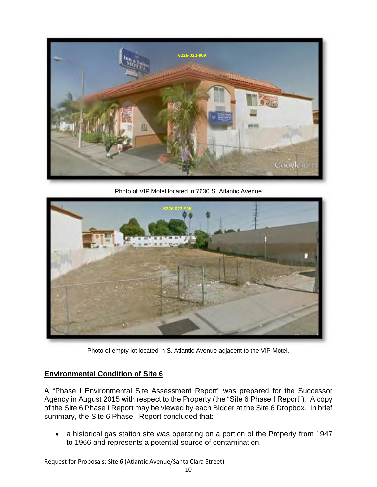

Photo of VIP Motel located in 7630 S. Atlantic Avenue



Photo of empty lot located in S. Atlantic Avenue adjacent to the VIP Motel.

## **Environmental Condition of Site 6**

A "Phase I Environmental Site Assessment Report" was prepared for the Successor Agency in August 2015 with respect to the Property (the "Site 6 Phase I Report"). A copy of the Site 6 Phase I Report may be viewed by each Bidder at the Site 6 Dropbox. In brief summary, the Site 6 Phase I Report concluded that:

• a historical gas station site was operating on a portion of the Property from 1947 to 1966 and represents a potential source of contamination.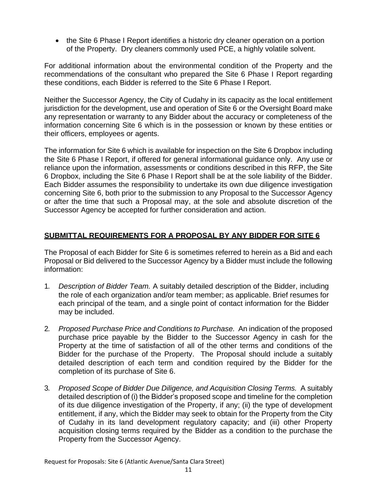• the Site 6 Phase I Report identifies a historic dry cleaner operation on a portion of the Property. Dry cleaners commonly used PCE, a highly volatile solvent.

For additional information about the environmental condition of the Property and the recommendations of the consultant who prepared the Site 6 Phase I Report regarding these conditions, each Bidder is referred to the Site 6 Phase I Report.

Neither the Successor Agency, the City of Cudahy in its capacity as the local entitlement jurisdiction for the development, use and operation of Site 6 or the Oversight Board make any representation or warranty to any Bidder about the accuracy or completeness of the information concerning Site 6 which is in the possession or known by these entities or their officers, employees or agents.

The information for Site 6 which is available for inspection on the Site 6 Dropbox including the Site 6 Phase I Report, if offered for general informational guidance only. Any use or reliance upon the information, assessments or conditions described in this RFP, the Site 6 Dropbox, including the Site 6 Phase I Report shall be at the sole liability of the Bidder. Each Bidder assumes the responsibility to undertake its own due diligence investigation concerning Site 6, both prior to the submission to any Proposal to the Successor Agency or after the time that such a Proposal may, at the sole and absolute discretion of the Successor Agency be accepted for further consideration and action.

## **SUBMITTAL REQUIREMENTS FOR A PROPOSAL BY ANY BIDDER FOR SITE 6**

The Proposal of each Bidder for Site 6 is sometimes referred to herein as a Bid and each Proposal or Bid delivered to the Successor Agency by a Bidder must include the following information:

- 1. *Description of Bidder Team.* A suitably detailed description of the Bidder, including the role of each organization and/or team member; as applicable. Brief resumes for each principal of the team, and a single point of contact information for the Bidder may be included.
- 2. *Proposed Purchase Price and Conditions to Purchase.* An indication of the proposed purchase price payable by the Bidder to the Successor Agency in cash for the Property at the time of satisfaction of all of the other terms and conditions of the Bidder for the purchase of the Property. The Proposal should include a suitably detailed description of each term and condition required by the Bidder for the completion of its purchase of Site 6.
- 3. *Proposed Scope of Bidder Due Diligence, and Acquisition Closing Terms.* A suitably detailed description of (i) the Bidder's proposed scope and timeline for the completion of its due diligence investigation of the Property, if any; (ii) the type of development entitlement, if any, which the Bidder may seek to obtain for the Property from the City of Cudahy in its land development regulatory capacity; and (iii) other Property acquisition closing terms required by the Bidder as a condition to the purchase the Property from the Successor Agency.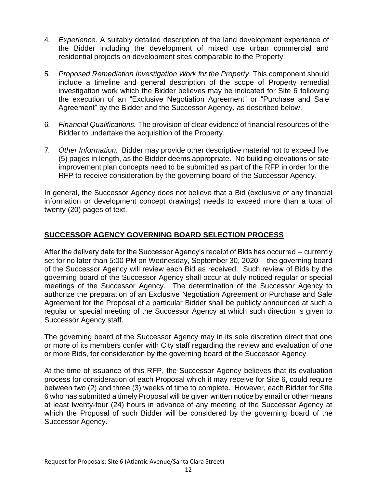- 4. *Experience.* A suitably detailed description of the land development experience of the Bidder including the development of mixed use urban commercial and residential projects on development sites comparable to the Property.
- 5. *Proposed Remediation Investigation Work for the Property*. This component should include a timeline and general description of the scope of Property remedial investigation work which the Bidder believes may be indicated for Site 6 following the execution of an "Exclusive Negotiation Agreement" or "Purchase and Sale Agreement" by the Bidder and the Successor Agency, as described below.
- 6. *Financial Qualifications.* The provision of clear evidence of financial resources of the Bidder to undertake the acquisition of the Property.
- 7. *Other Information.* Bidder may provide other descriptive material not to exceed five (5) pages in length, as the Bidder deems appropriate. No building elevations or site improvement plan concepts need to be submitted as part of the RFP in order for the RFP to receive consideration by the governing board of the Successor Agency.

In general, the Successor Agency does not believe that a Bid (exclusive of any financial information or development concept drawings) needs to exceed more than a total of twenty (20) pages of text.

## **SUCCESSOR AGENCY GOVERNING BOARD SELECTION PROCESS**

After the delivery date for the Successor Agency's receipt of Bids has occurred -- currently set for no later than 5:00 PM on Wednesday, September 30, 2020 -- the governing board of the Successor Agency will review each Bid as received. Such review of Bids by the governing board of the Successor Agency shall occur at duly noticed regular or special meetings of the Successor Agency. The determination of the Successor Agency to authorize the preparation of an Exclusive Negotiation Agreement or Purchase and Sale Agreement for the Proposal of a particular Bidder shall be publicly announced at such a regular or special meeting of the Successor Agency at which such direction is given to Successor Agency staff.

The governing board of the Successor Agency may in its sole discretion direct that one or more of its members confer with City staff regarding the review and evaluation of one or more Bids, for consideration by the governing board of the Successor Agency.

At the time of issuance of this RFP, the Successor Agency believes that its evaluation process for consideration of each Proposal which it may receive for Site 6, could require between two (2) and three (3) weeks of time to complete. However, each Bidder for Site 6 who has submitted a timely Proposal will be given written notice by email or other means at least twenty-four (24) hours in advance of any meeting of the Successor Agency at which the Proposal of such Bidder will be considered by the governing board of the Successor Agency.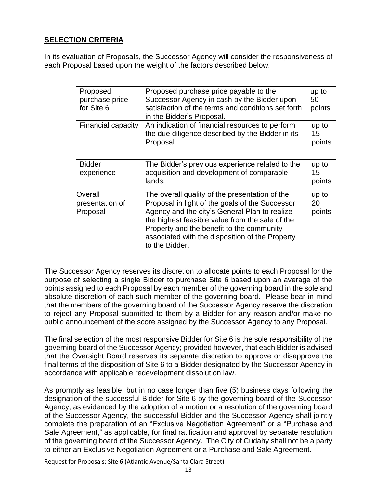## **SELECTION CRITERIA**

In its evaluation of Proposals, the Successor Agency will consider the responsiveness of each Proposal based upon the weight of the factors described below.

| Proposed<br>purchase price<br>for Site 6 | Proposed purchase price payable to the<br>Successor Agency in cash by the Bidder upon<br>satisfaction of the terms and conditions set forth<br>in the Bidder's Proposal.                                                                                                                                                | up to<br>50<br>points |
|------------------------------------------|-------------------------------------------------------------------------------------------------------------------------------------------------------------------------------------------------------------------------------------------------------------------------------------------------------------------------|-----------------------|
| Financial capacity                       | An indication of financial resources to perform<br>the due diligence described by the Bidder in its<br>Proposal.                                                                                                                                                                                                        | up to<br>15<br>points |
| <b>Bidder</b><br>experience              | The Bidder's previous experience related to the<br>acquisition and development of comparable<br>lands.                                                                                                                                                                                                                  | up to<br>15<br>points |
| Overall<br>presentation of<br>Proposal   | The overall quality of the presentation of the<br>Proposal in light of the goals of the Successor<br>Agency and the city's General Plan to realize<br>the highest feasible value from the sale of the<br>Property and the benefit to the community<br>associated with the disposition of the Property<br>to the Bidder. | up to<br>20<br>points |

The Successor Agency reserves its discretion to allocate points to each Proposal for the purpose of selecting a single Bidder to purchase Site 6 based upon an average of the points assigned to each Proposal by each member of the governing board in the sole and absolute discretion of each such member of the governing board. Please bear in mind that the members of the governing board of the Successor Agency reserve the discretion to reject any Proposal submitted to them by a Bidder for any reason and/or make no public announcement of the score assigned by the Successor Agency to any Proposal.

The final selection of the most responsive Bidder for Site 6 is the sole responsibility of the governing board of the Successor Agency; provided however, that each Bidder is advised that the Oversight Board reserves its separate discretion to approve or disapprove the final terms of the disposition of Site 6 to a Bidder designated by the Successor Agency in accordance with applicable redevelopment dissolution law.

As promptly as feasible, but in no case longer than five (5) business days following the designation of the successful Bidder for Site 6 by the governing board of the Successor Agency, as evidenced by the adoption of a motion or a resolution of the governing board of the Successor Agency, the successful Bidder and the Successor Agency shall jointly complete the preparation of an "Exclusive Negotiation Agreement" or a "Purchase and Sale Agreement," as applicable, for final ratification and approval by separate resolution of the governing board of the Successor Agency. The City of Cudahy shall not be a party to either an Exclusive Negotiation Agreement or a Purchase and Sale Agreement.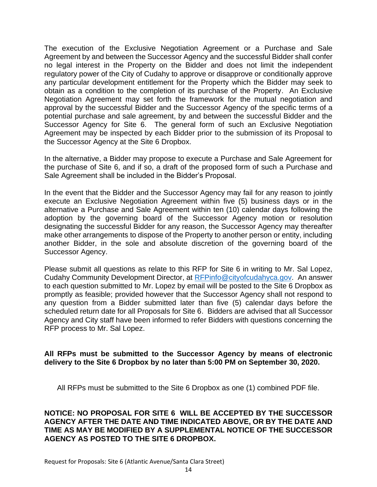The execution of the Exclusive Negotiation Agreement or a Purchase and Sale Agreement by and between the Successor Agency and the successful Bidder shall confer no legal interest in the Property on the Bidder and does not limit the independent regulatory power of the City of Cudahy to approve or disapprove or conditionally approve any particular development entitlement for the Property which the Bidder may seek to obtain as a condition to the completion of its purchase of the Property. An Exclusive Negotiation Agreement may set forth the framework for the mutual negotiation and approval by the successful Bidder and the Successor Agency of the specific terms of a potential purchase and sale agreement, by and between the successful Bidder and the Successor Agency for Site 6. The general form of such an Exclusive Negotiation Agreement may be inspected by each Bidder prior to the submission of its Proposal to the Successor Agency at the Site 6 Dropbox.

In the alternative, a Bidder may propose to execute a Purchase and Sale Agreement for the purchase of Site 6, and if so, a draft of the proposed form of such a Purchase and Sale Agreement shall be included in the Bidder's Proposal.

In the event that the Bidder and the Successor Agency may fail for any reason to jointly execute an Exclusive Negotiation Agreement within five (5) business days or in the alternative a Purchase and Sale Agreement within ten (10) calendar days following the adoption by the governing board of the Successor Agency motion or resolution designating the successful Bidder for any reason, the Successor Agency may thereafter make other arrangements to dispose of the Property to another person or entity, including another Bidder, in the sole and absolute discretion of the governing board of the Successor Agency.

Please submit all questions as relate to this RFP for Site 6 in writing to Mr. Sal Lopez, Cudahy Community Development Director, at [RFPinfo@cityofcudahyca.gov.](mailto:RFPinfo@cityofcudahyca.gov) An answer to each question submitted to Mr. Lopez by email will be posted to the Site 6 Dropbox as promptly as feasible; provided however that the Successor Agency shall not respond to any question from a Bidder submitted later than five (5) calendar days before the scheduled return date for all Proposals for Site 6. Bidders are advised that all Successor Agency and City staff have been informed to refer Bidders with questions concerning the RFP process to Mr. Sal Lopez.

#### **All RFPs must be submitted to the Successor Agency by means of electronic delivery to the Site 6 Dropbox by no later than 5:00 PM on September 30, 2020.**

All RFPs must be submitted to the Site 6 Dropbox as one (1) combined PDF file.

#### **NOTICE: NO PROPOSAL FOR SITE 6 WILL BE ACCEPTED BY THE SUCCESSOR AGENCY AFTER THE DATE AND TIME INDICATED ABOVE, OR BY THE DATE AND TIME AS MAY BE MODIFIED BY A SUPPLEMENTAL NOTICE OF THE SUCCESSOR AGENCY AS POSTED TO THE SITE 6 DROPBOX.**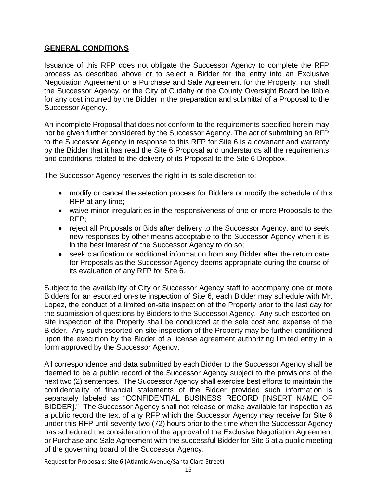#### **GENERAL CONDITIONS**

Issuance of this RFP does not obligate the Successor Agency to complete the RFP process as described above or to select a Bidder for the entry into an Exclusive Negotiation Agreement or a Purchase and Sale Agreement for the Property, nor shall the Successor Agency, or the City of Cudahy or the County Oversight Board be liable for any cost incurred by the Bidder in the preparation and submittal of a Proposal to the Successor Agency.

An incomplete Proposal that does not conform to the requirements specified herein may not be given further considered by the Successor Agency. The act of submitting an RFP to the Successor Agency in response to this RFP for Site 6 is a covenant and warranty by the Bidder that it has read the Site 6 Proposal and understands all the requirements and conditions related to the delivery of its Proposal to the Site 6 Dropbox.

The Successor Agency reserves the right in its sole discretion to:

- modify or cancel the selection process for Bidders or modify the schedule of this RFP at any time;
- waive minor irregularities in the responsiveness of one or more Proposals to the RFP;
- reject all Proposals or Bids after delivery to the Successor Agency, and to seek new responses by other means acceptable to the Successor Agency when it is in the best interest of the Successor Agency to do so;
- seek clarification or additional information from any Bidder after the return date for Proposals as the Successor Agency deems appropriate during the course of its evaluation of any RFP for Site 6.

Subject to the availability of City or Successor Agency staff to accompany one or more Bidders for an escorted on-site inspection of Site 6, each Bidder may schedule with Mr. Lopez, the conduct of a limited on-site inspection of the Property prior to the last day for the submission of questions by Bidders to the Successor Agency. Any such escorted onsite inspection of the Property shall be conducted at the sole cost and expense of the Bidder. Any such escorted on-site inspection of the Property may be further conditioned upon the execution by the Bidder of a license agreement authorizing limited entry in a form approved by the Successor Agency.

All correspondence and data submitted by each Bidder to the Successor Agency shall be deemed to be a public record of the Successor Agency subject to the provisions of the next two (2) sentences. The Successor Agency shall exercise best efforts to maintain the confidentiality of financial statements of the Bidder provided such information is separately labeled as "CONFIDENTIAL BUSINESS RECORD [INSERT NAME OF BIDDER]." The Successor Agency shall not release or make available for inspection as a public record the text of any RFP which the Successor Agency may receive for Site 6 under this RFP until seventy-two (72) hours prior to the time when the Successor Agency has scheduled the consideration of the approval of the Exclusive Negotiation Agreement or Purchase and Sale Agreement with the successful Bidder for Site 6 at a public meeting of the governing board of the Successor Agency.